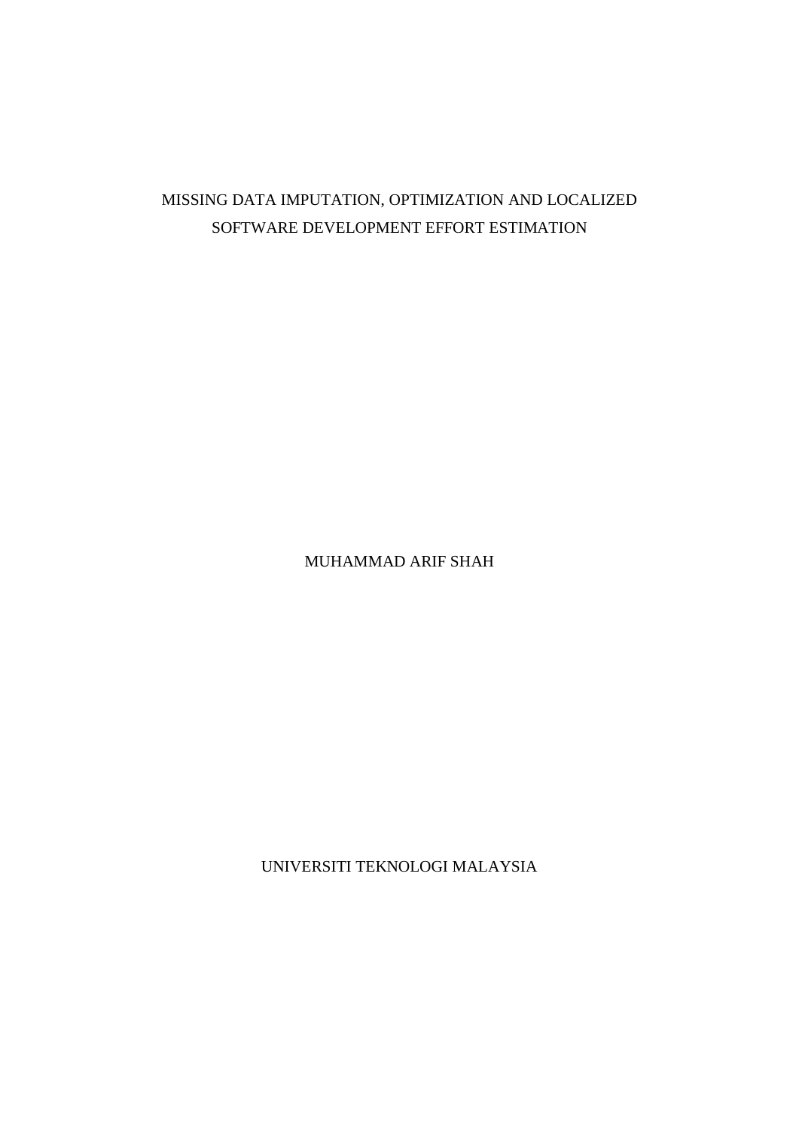# MISSING DATA IMPUTATION, OPTIMIZATION AND LOCALIZED SOFTWARE DEVELOPMENT EFFORT ESTIMATION

MUHAMMAD ARIF SHAH

UNIVERSITI TEKNOLOGI MALAYSIA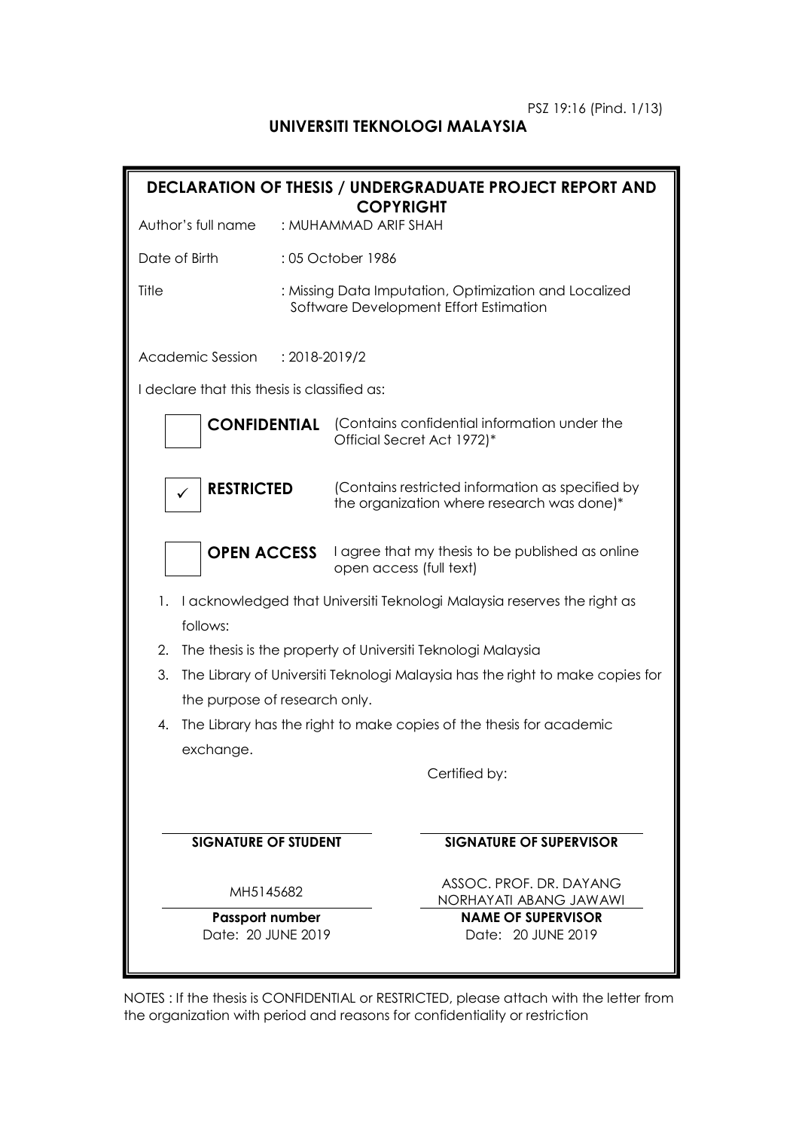## **UNIVERSITI TEKNOLOGI MALAYSIA**

|                                                    |               | <b>DECLARATION OF THESIS / UNDERGRADUATE PROJECT REPORT AND</b><br><b>COPYRIGHT</b>                  |
|----------------------------------------------------|---------------|------------------------------------------------------------------------------------------------------|
| Author's full name                                 |               | : MUHAMMAD ARIF SHAH                                                                                 |
| Date of Birth                                      |               | :05 October 1986                                                                                     |
| Title                                              |               | : Missing Data Imputation, Optimization and Localized<br>Software Development Effort Estimation      |
| Academic Session                                   | : 2018-2019/2 |                                                                                                      |
| I declare that this thesis is classified as:       |               |                                                                                                      |
| <b>CONFIDENTIAL</b>                                |               | (Contains confidential information under the<br>Official Secret Act 1972)*                           |
| <b>RESTRICTED</b>                                  |               | (Contains restricted information as specified by<br>the organization where research was done)*       |
| <b>OPEN ACCESS</b>                                 |               | I agree that my thesis to be published as online<br>open access (full text)                          |
| 1.<br>follows:                                     |               | I acknowledged that Universiti Teknologi Malaysia reserves the right as                              |
| 2.                                                 |               | The thesis is the property of Universiti Teknologi Malaysia                                          |
| 3.                                                 |               | The Library of Universiti Teknologi Malaysia has the right to make copies for                        |
| the purpose of research only.<br>4.                |               | The Library has the right to make copies of the thesis for academic                                  |
| exchange.                                          |               | Certified by:                                                                                        |
| <b>SIGNATURE OF STUDENT</b>                        |               | <b>SIGNATURE OF SUPERVISOR</b>                                                                       |
| MH5145682<br>Passport number<br>Date: 20 JUNE 2019 |               | ASSOC. PROF. DR. DAYANG<br>NORHAYATI ABANG JAWAWI<br><b>NAME OF SUPERVISOR</b><br>Date: 20 JUNE 2019 |

NOTES : If the thesis is CONFIDENTIAL or RESTRICTED, please attach with the letter from the organization with period and reasons for confidentiality or restriction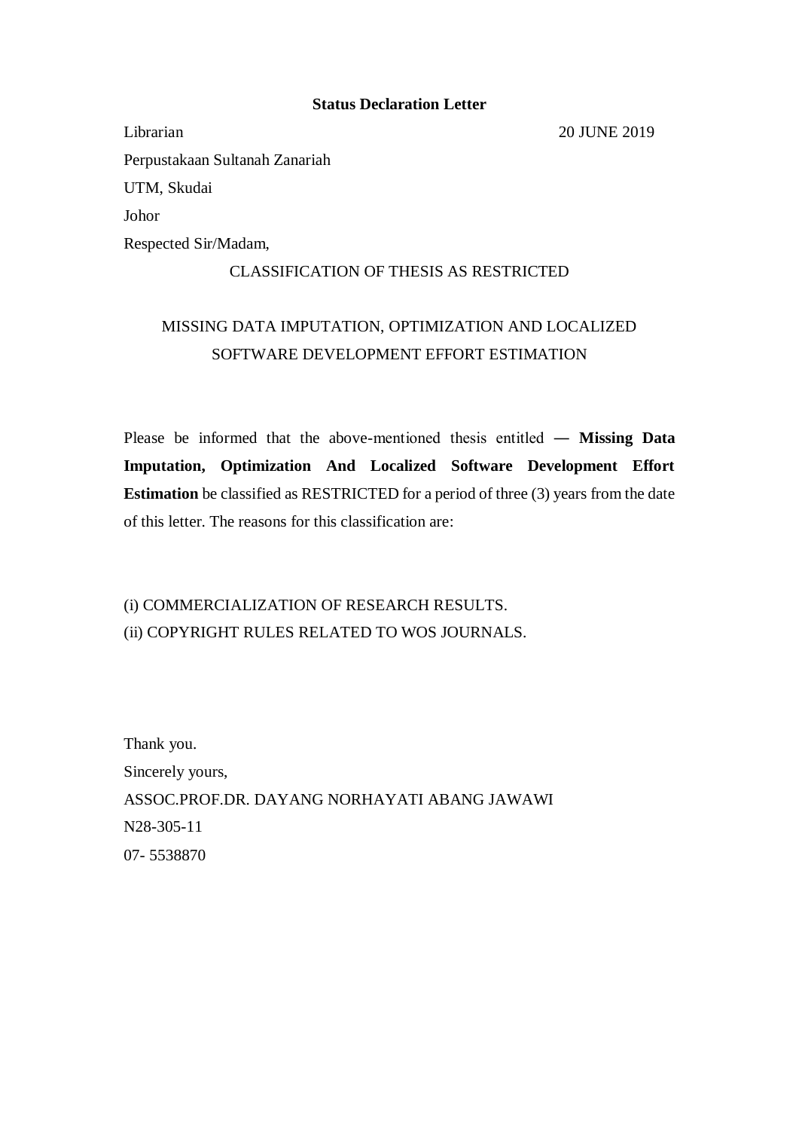### **Status Declaration Letter**

Librarian 20 JUNE 2019 Perpustakaan Sultanah Zanariah UTM, Skudai Johor Respected Sir/Madam,

### CLASSIFICATION OF THESIS AS RESTRICTED

# MISSING DATA IMPUTATION, OPTIMIZATION AND LOCALIZED SOFTWARE DEVELOPMENT EFFORT ESTIMATION

Please be informed that the above-mentioned thesis entitled ― **Missing Data Imputation, Optimization And Localized Software Development Effort Estimation** be classified as RESTRICTED for a period of three (3) years from the date of this letter. The reasons for this classification are:

# (i) COMMERCIALIZATION OF RESEARCH RESULTS. (ii) COPYRIGHT RULES RELATED TO WOS JOURNALS.

Thank you. Sincerely yours, ASSOC.PROF.DR. DAYANG NORHAYATI ABANG JAWAWI N28-305-11 07- 5538870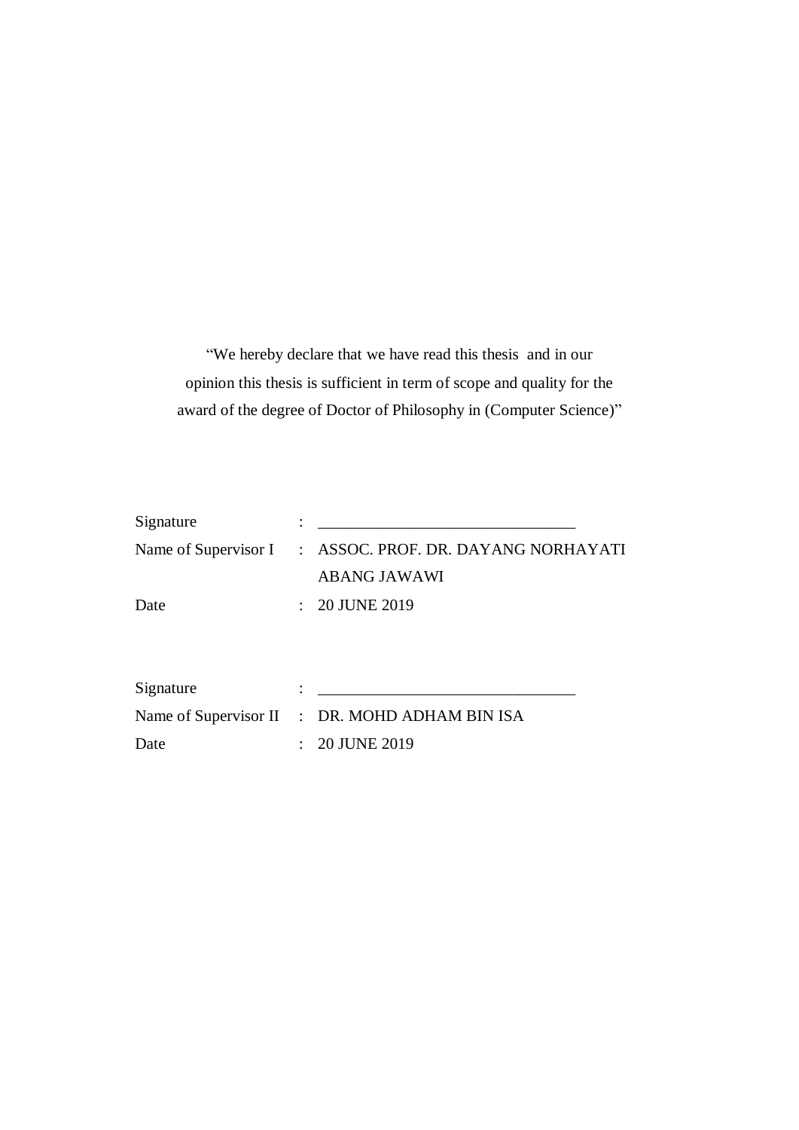"We hereby declare that we have read this thesis and in our opinion this thesis is sufficient in term of scope and quality for the award of the degree of Doctor of Philosophy in (Computer Science)"

| Signature |                                                          |
|-----------|----------------------------------------------------------|
|           | Name of Supervisor I : ASSOC. PROF. DR. DAYANG NORHAYATI |
|           | <b>ABANG JAWAWI</b>                                      |
| Date      | $: 20$ JUNE 2019                                         |
|           |                                                          |
|           |                                                          |
| Signature |                                                          |
|           | Name of Supervisor II : DR. MOHD ADHAM BIN ISA           |
| Date      | 20 JUNE 2019                                             |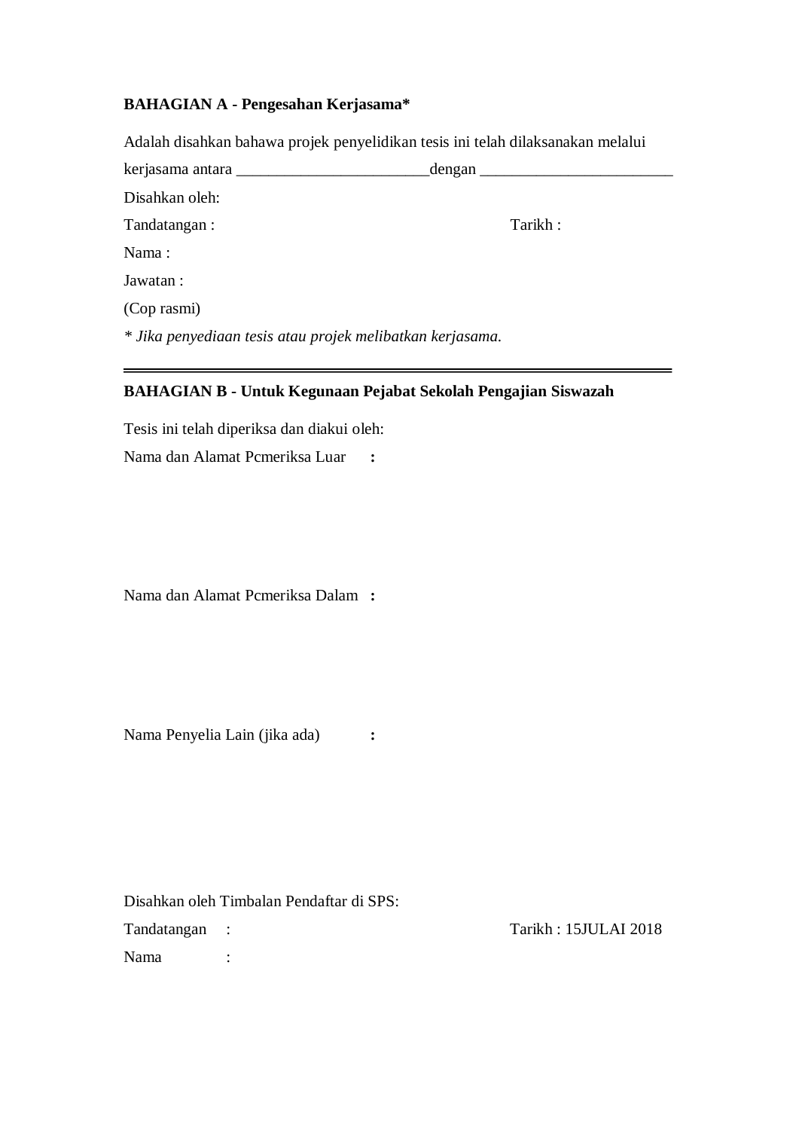## **BAHAGIAN A - Pengesahan Kerjasama\***

Adalah disahkan bahawa projek penyelidikan tesis ini telah dilaksanakan melalui

| kerjasama antara                                          | _dengan ___ |
|-----------------------------------------------------------|-------------|
| Disahkan oleh:                                            |             |
| Tandatangan:                                              | Tarikh:     |
| Nama:                                                     |             |
| Jawatan:                                                  |             |
| (Cop rasmi)                                               |             |
| * Jika penyediaan tesis atau projek melibatkan kerjasama. |             |
|                                                           |             |

## **BAHAGIAN B - Untuk Kegunaan Pejabat Sekolah Pengajian Siswazah**

Tesis ini telah diperiksa dan diakui oleh:

Nama dan Alamat Pcmeriksa Luar **:**

Nama dan Alamat Pcmeriksa Dalam **:**

Nama Penyelia Lain (jika ada) **:**

|               | Disahkan oleh Timbalan Pendaftar di SPS: |                      |
|---------------|------------------------------------------|----------------------|
| Tandatangan : |                                          | Tarikh: 15JULAI 2018 |
| <b>Nama</b>   |                                          |                      |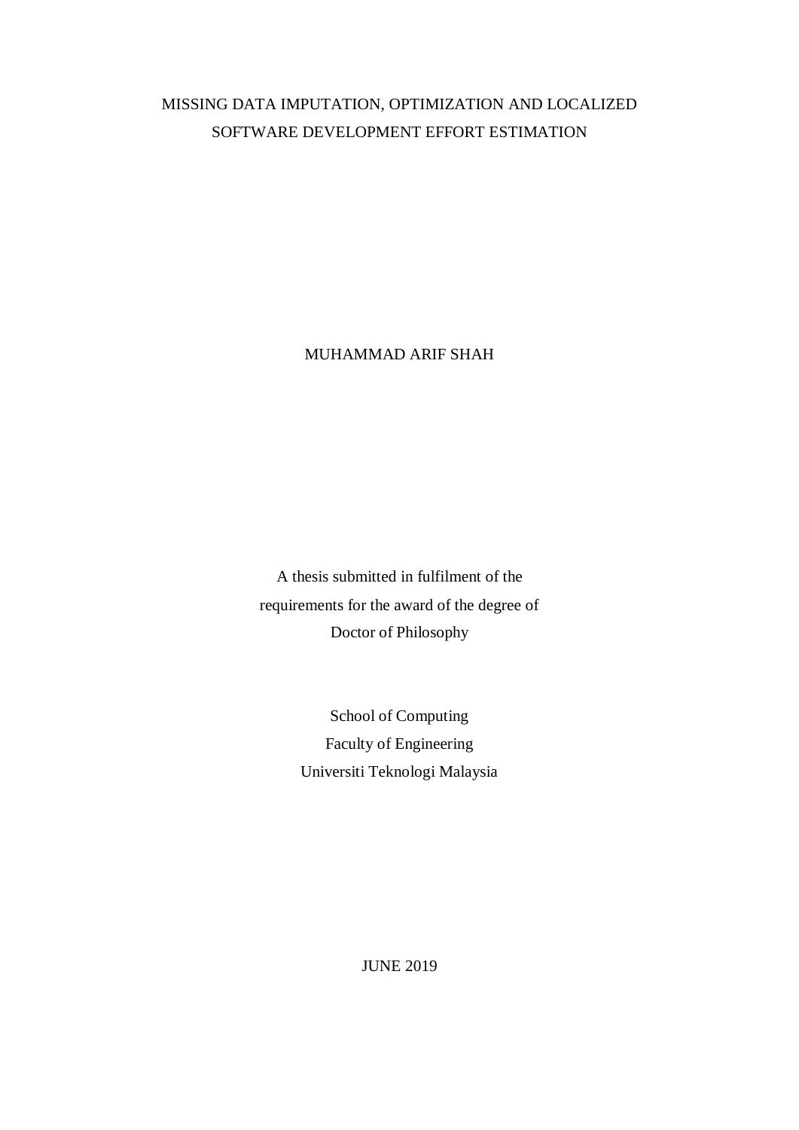# MISSING DATA IMPUTATION, OPTIMIZATION AND LOCALIZED SOFTWARE DEVELOPMENT EFFORT ESTIMATION

MUHAMMAD ARIF SHAH

A thesis submitted in fulfilment of the requirements for the award of the degree of Doctor of Philosophy

> School of Computing Faculty of Engineering Universiti Teknologi Malaysia

> > JUNE 2019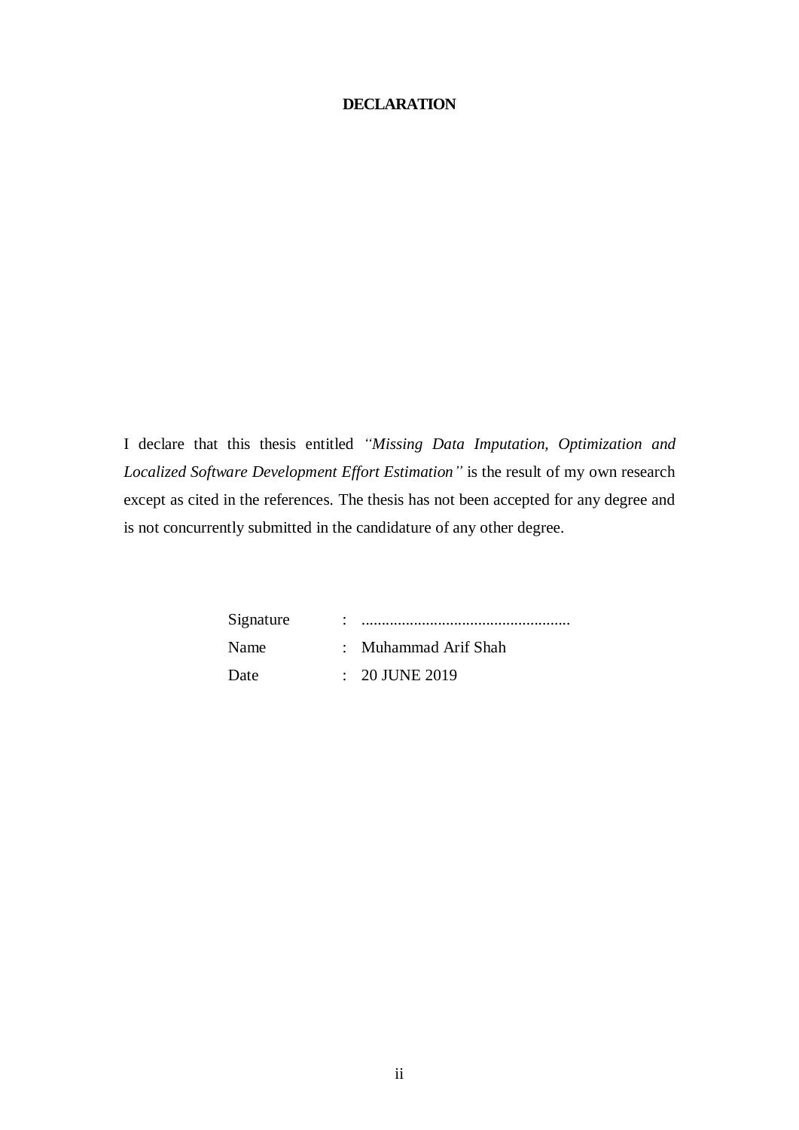### <span id="page-11-0"></span>**DECLARATION**

I declare that this thesis entitled *"Missing Data Imputation, Optimization and Localized Software Development Effort Estimation"* is the result of my own research except as cited in the references. The thesis has not been accepted for any degree and is not concurrently submitted in the candidature of any other degree.

> Signature : .................................................... Name : Muhammad Arif Shah Date : 20 JUNE 2019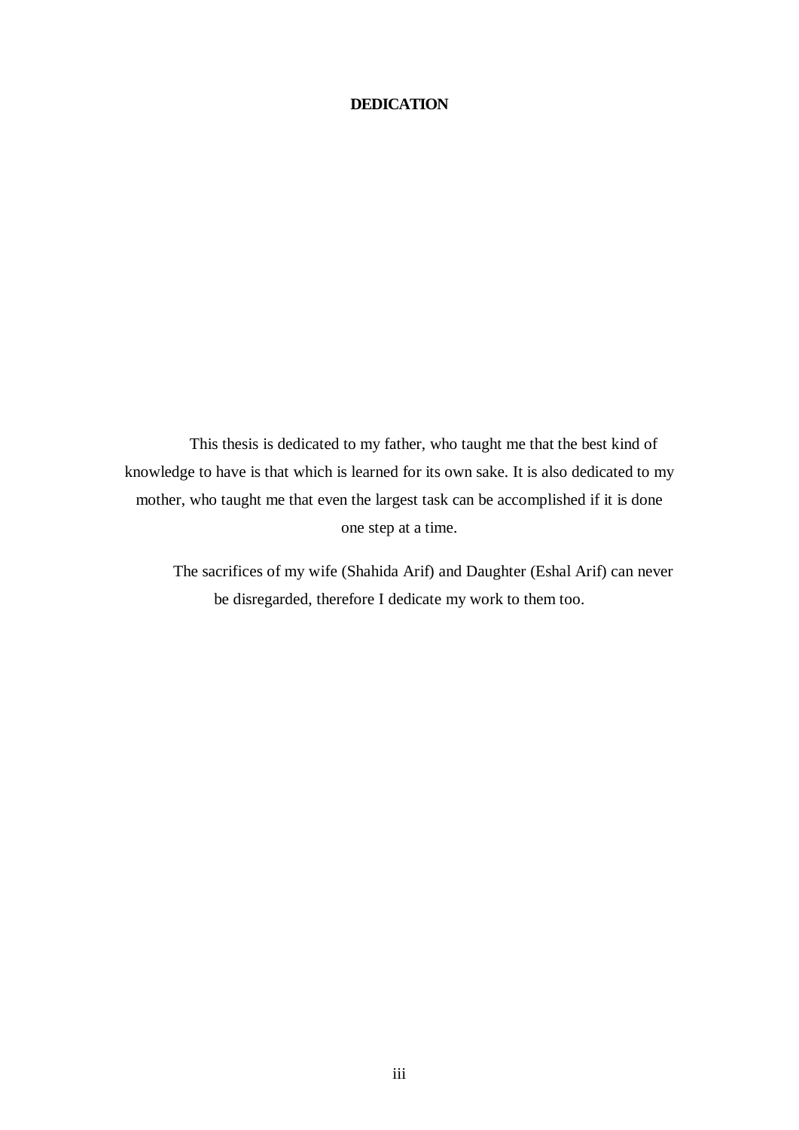### <span id="page-12-0"></span>**DEDICATION**

This thesis is dedicated to my father, who taught me that the best kind of knowledge to have is that which is learned for its own sake. It is also dedicated to my mother, who taught me that even the largest task can be accomplished if it is done one step at a time.

The sacrifices of my wife (Shahida Arif) and Daughter (Eshal Arif) can never be disregarded, therefore I dedicate my work to them too.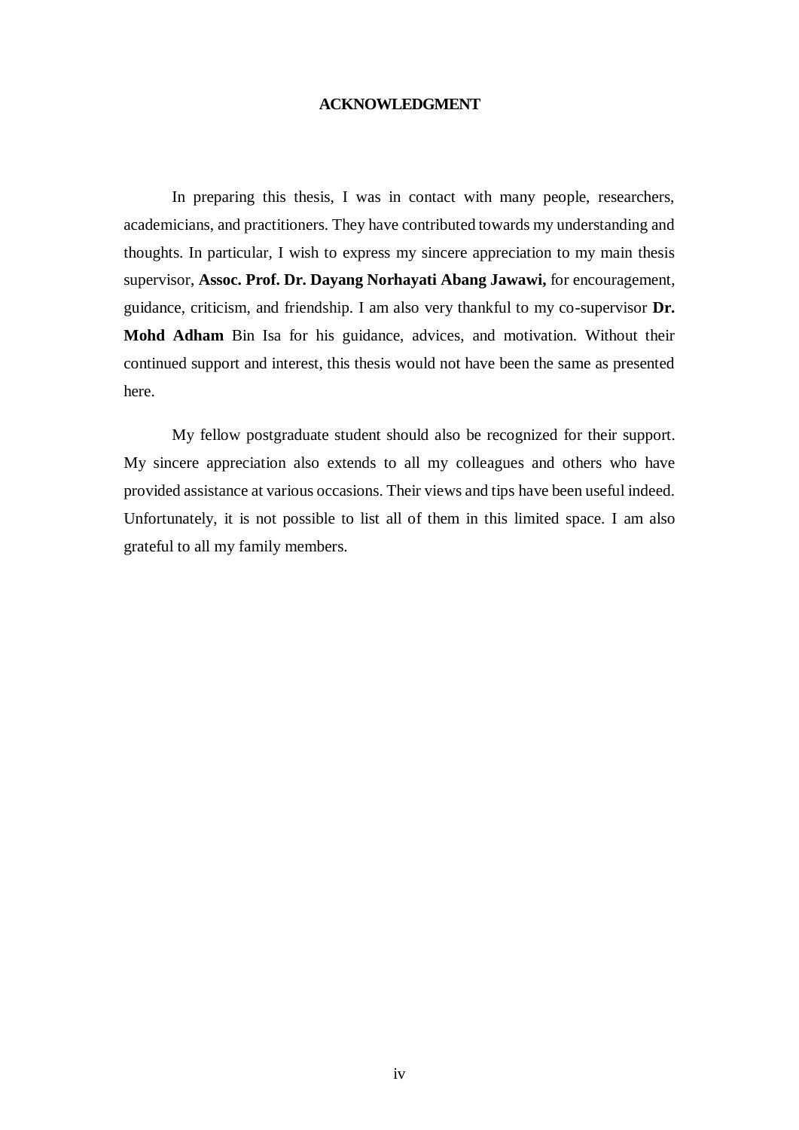### **ACKNOWLEDGMENT**

<span id="page-13-0"></span>In preparing this thesis, I was in contact with many people, researchers, academicians, and practitioners. They have contributed towards my understanding and thoughts. In particular, I wish to express my sincere appreciation to my main thesis supervisor, **Assoc. Prof. Dr. Dayang Norhayati Abang Jawawi,** for encouragement, guidance, criticism, and friendship. I am also very thankful to my co-supervisor **Dr. Mohd Adham** Bin Isa for his guidance, advices, and motivation. Without their continued support and interest, this thesis would not have been the same as presented here.

My fellow postgraduate student should also be recognized for their support. My sincere appreciation also extends to all my colleagues and others who have provided assistance at various occasions. Their views and tips have been useful indeed. Unfortunately, it is not possible to list all of them in this limited space. I am also grateful to all my family members.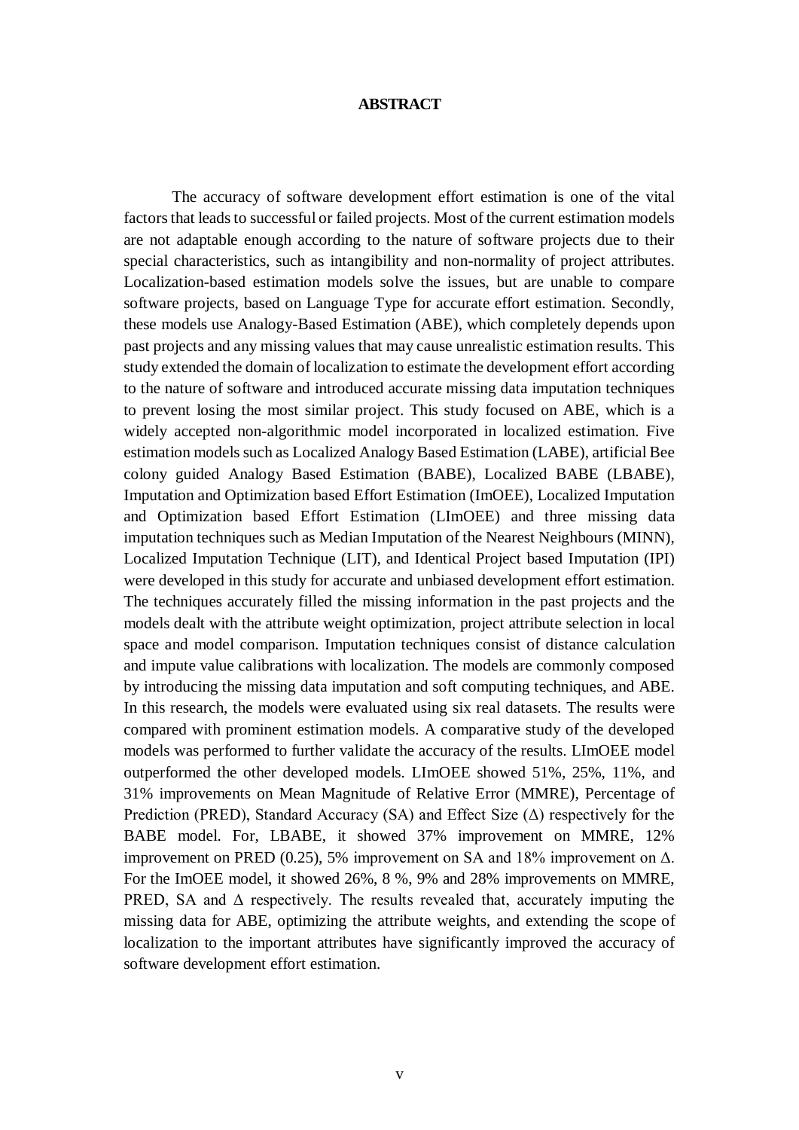#### **ABSTRACT**

<span id="page-14-0"></span>The accuracy of software development effort estimation is one of the vital factors that leads to successful or failed projects. Most of the current estimation models are not adaptable enough according to the nature of software projects due to their special characteristics, such as intangibility and non-normality of project attributes. Localization-based estimation models solve the issues, but are unable to compare software projects, based on Language Type for accurate effort estimation. Secondly, these models use Analogy-Based Estimation (ABE), which completely depends upon past projects and any missing values that may cause unrealistic estimation results. This study extended the domain of localization to estimate the development effort according to the nature of software and introduced accurate missing data imputation techniques to prevent losing the most similar project. This study focused on ABE, which is a widely accepted non-algorithmic model incorporated in localized estimation. Five estimation models such as Localized Analogy Based Estimation (LABE), artificial Bee colony guided Analogy Based Estimation (BABE), Localized BABE (LBABE), Imputation and Optimization based Effort Estimation (ImOEE), Localized Imputation and Optimization based Effort Estimation (LImOEE) and three missing data imputation techniques such as Median Imputation of the Nearest Neighbours (MINN), Localized Imputation Technique (LIT), and Identical Project based Imputation (IPI) were developed in this study for accurate and unbiased development effort estimation. The techniques accurately filled the missing information in the past projects and the models dealt with the attribute weight optimization, project attribute selection in local space and model comparison. Imputation techniques consist of distance calculation and impute value calibrations with localization. The models are commonly composed by introducing the missing data imputation and soft computing techniques, and ABE. In this research, the models were evaluated using six real datasets. The results were compared with prominent estimation models. A comparative study of the developed models was performed to further validate the accuracy of the results. LImOEE model outperformed the other developed models. LImOEE showed 51%, 25%, 11%, and 31% improvements on Mean Magnitude of Relative Error (MMRE), Percentage of Prediction (PRED), Standard Accuracy (SA) and Effect Size  $(\Delta)$  respectively for the BABE model. For, LBABE, it showed 37% improvement on MMRE, 12% improvement on PRED (0.25), 5% improvement on SA and 18% improvement on Δ. For the ImOEE model, it showed 26%, 8 %, 9% and 28% improvements on MMRE, PRED, SA and  $\Delta$  respectively. The results revealed that, accurately imputing the missing data for ABE, optimizing the attribute weights, and extending the scope of localization to the important attributes have significantly improved the accuracy of software development effort estimation.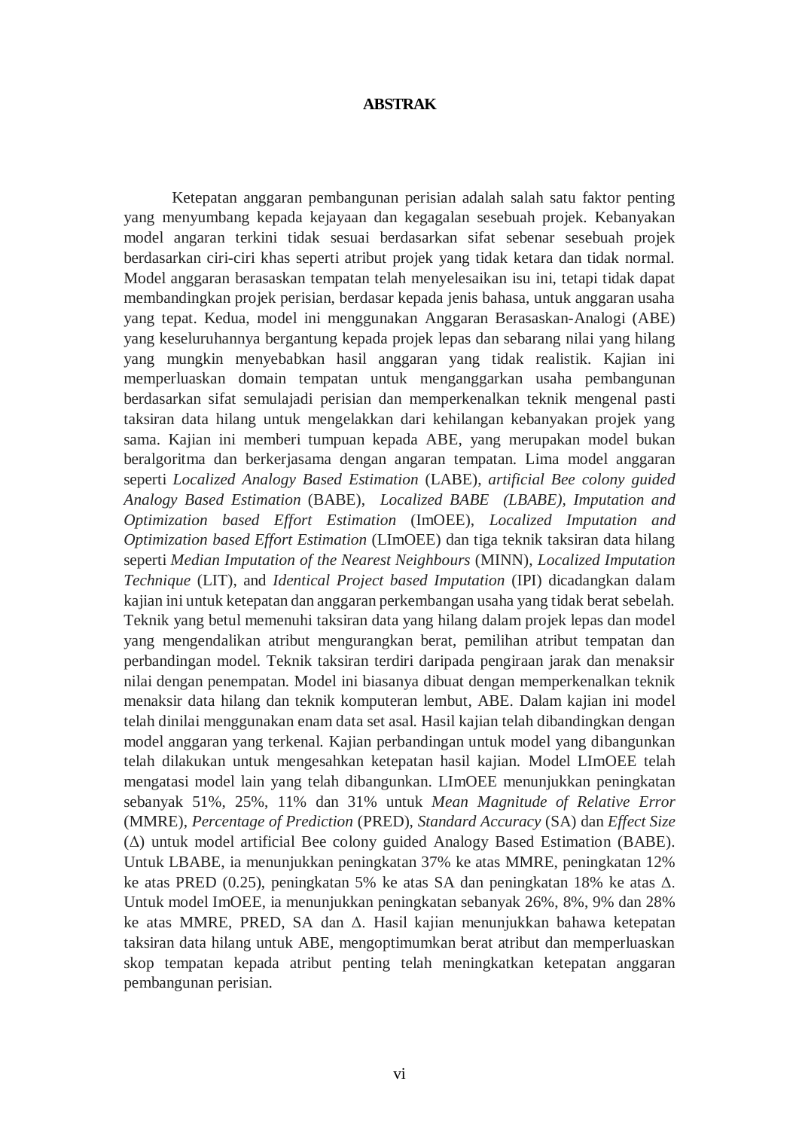#### **ABSTRAK**

<span id="page-15-0"></span>Ketepatan anggaran pembangunan perisian adalah salah satu faktor penting yang menyumbang kepada kejayaan dan kegagalan sesebuah projek. Kebanyakan model angaran terkini tidak sesuai berdasarkan sifat sebenar sesebuah projek berdasarkan ciri-ciri khas seperti atribut projek yang tidak ketara dan tidak normal. Model anggaran berasaskan tempatan telah menyelesaikan isu ini, tetapi tidak dapat membandingkan projek perisian, berdasar kepada jenis bahasa, untuk anggaran usaha yang tepat. Kedua, model ini menggunakan Anggaran Berasaskan-Analogi (ABE) yang keseluruhannya bergantung kepada projek lepas dan sebarang nilai yang hilang yang mungkin menyebabkan hasil anggaran yang tidak realistik. Kajian ini memperluaskan domain tempatan untuk menganggarkan usaha pembangunan berdasarkan sifat semulajadi perisian dan memperkenalkan teknik mengenal pasti taksiran data hilang untuk mengelakkan dari kehilangan kebanyakan projek yang sama. Kajian ini memberi tumpuan kepada ABE, yang merupakan model bukan beralgoritma dan berkerjasama dengan angaran tempatan. Lima model anggaran seperti *Localized Analogy Based Estimation* (LABE), *artificial Bee colony guided Analogy Based Estimation* (BABE), *Localized BABE (LBABE), Imputation and Optimization based Effort Estimation* (ImOEE), *Localized Imputation and Optimization based Effort Estimation* (LImOEE) dan tiga teknik taksiran data hilang seperti *Median Imputation of the Nearest Neighbours* (MINN), *Localized Imputation Technique* (LIT), and *Identical Project based Imputation* (IPI) dicadangkan dalam kajian ini untuk ketepatan dan anggaran perkembangan usaha yang tidak berat sebelah. Teknik yang betul memenuhi taksiran data yang hilang dalam projek lepas dan model yang mengendalikan atribut mengurangkan berat, pemilihan atribut tempatan dan perbandingan model. Teknik taksiran terdiri daripada pengiraan jarak dan menaksir nilai dengan penempatan. Model ini biasanya dibuat dengan memperkenalkan teknik menaksir data hilang dan teknik komputeran lembut, ABE. Dalam kajian ini model telah dinilai menggunakan enam data set asal. Hasil kajian telah dibandingkan dengan model anggaran yang terkenal. Kajian perbandingan untuk model yang dibangunkan telah dilakukan untuk mengesahkan ketepatan hasil kajian. Model LImOEE telah mengatasi model lain yang telah dibangunkan. LImOEE menunjukkan peningkatan sebanyak 51%, 25%, 11% dan 31% untuk *Mean Magnitude of Relative Error* (MMRE), *Percentage of Prediction* (PRED), *Standard Accuracy* (SA) dan *Effect Size* (Δ) untuk model artificial Bee colony guided Analogy Based Estimation (BABE). Untuk LBABE, ia menunjukkan peningkatan 37% ke atas MMRE, peningkatan 12% ke atas PRED (0.25), peningkatan 5% ke atas SA dan peningkatan 18% ke atas Δ. Untuk model ImOEE, ia menunjukkan peningkatan sebanyak 26%, 8%, 9% dan 28% ke atas MMRE, PRED, SA dan Δ. Hasil kajian menunjukkan bahawa ketepatan taksiran data hilang untuk ABE, mengoptimumkan berat atribut dan memperluaskan skop tempatan kepada atribut penting telah meningkatkan ketepatan anggaran pembangunan perisian.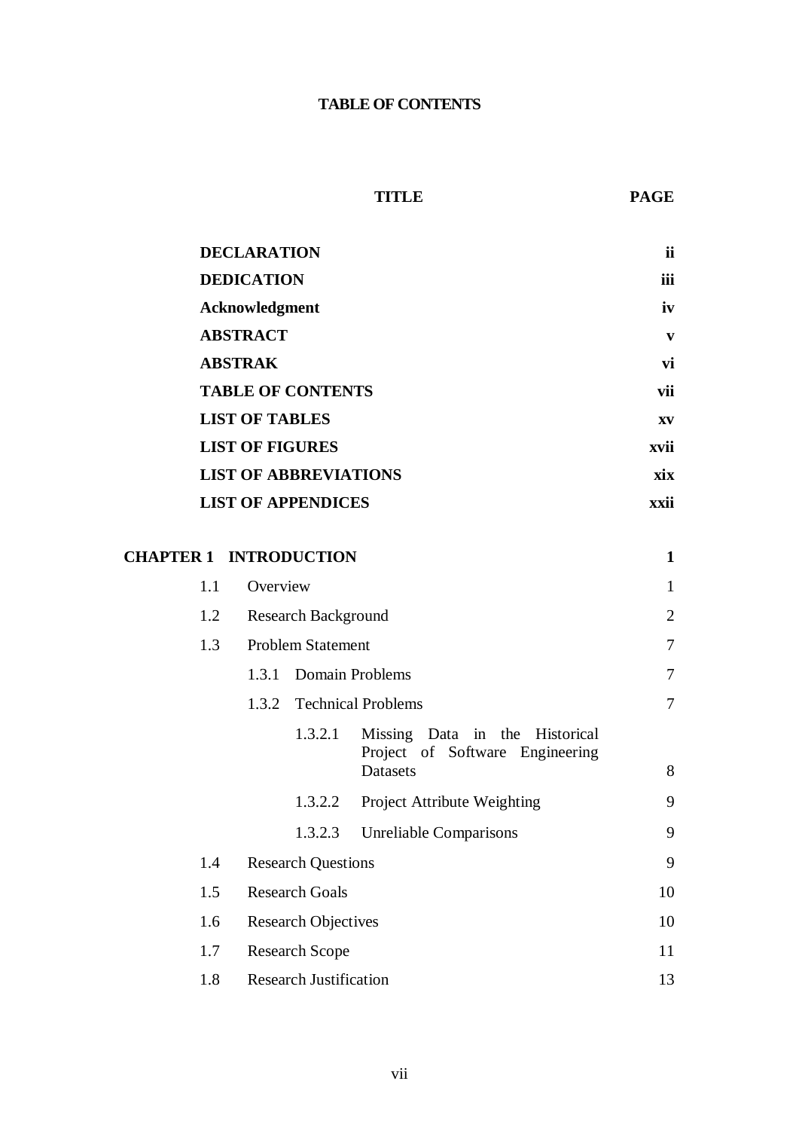## **TABLE OF CONTENTS**

## **TITLE PAGE**

<span id="page-16-0"></span>

| <b>DECLARATION</b>           | ii         |
|------------------------------|------------|
| <b>DEDICATION</b>            | <b>iii</b> |
| <b>Acknowledgment</b>        | iv         |
| <b>ABSTRACT</b>              | V          |
| <b>ABSTRAK</b>               | vi         |
| <b>TABLE OF CONTENTS</b>     | vii        |
| <b>LIST OF TABLES</b>        | XV         |
| <b>LIST OF FIGURES</b>       | xvii       |
| <b>LIST OF ABBREVIATIONS</b> | xix        |
| <b>LIST OF APPENDICES</b>    | xxii       |

| <b>CHAPTER 1 INTRODUCTION</b> |          |                               |                                                                   | 1              |
|-------------------------------|----------|-------------------------------|-------------------------------------------------------------------|----------------|
| 1.1                           | Overview |                               |                                                                   | $\mathbf{1}$   |
| 1.2                           |          | <b>Research Background</b>    |                                                                   | $\overline{2}$ |
| 1.3                           |          | <b>Problem Statement</b>      |                                                                   | 7              |
|                               | 1.3.1    |                               | Domain Problems                                                   | 7              |
|                               | 1.3.2    |                               | <b>Technical Problems</b>                                         | 7              |
|                               |          | 1.3.2.1                       | Missing Data in the Historical<br>Project of Software Engineering |                |
|                               |          |                               | Datasets                                                          | 8              |
|                               |          | 1.3.2.2                       | Project Attribute Weighting                                       | 9              |
|                               |          | 1.3.2.3                       | <b>Unreliable Comparisons</b>                                     | 9              |
| 1.4                           |          | <b>Research Questions</b>     |                                                                   | 9              |
| 1.5                           |          | <b>Research Goals</b>         |                                                                   | 10             |
| 1.6                           |          | <b>Research Objectives</b>    |                                                                   | 10             |
| 1.7                           |          | <b>Research Scope</b>         |                                                                   | 11             |
| 1.8                           |          | <b>Research Justification</b> |                                                                   | 13             |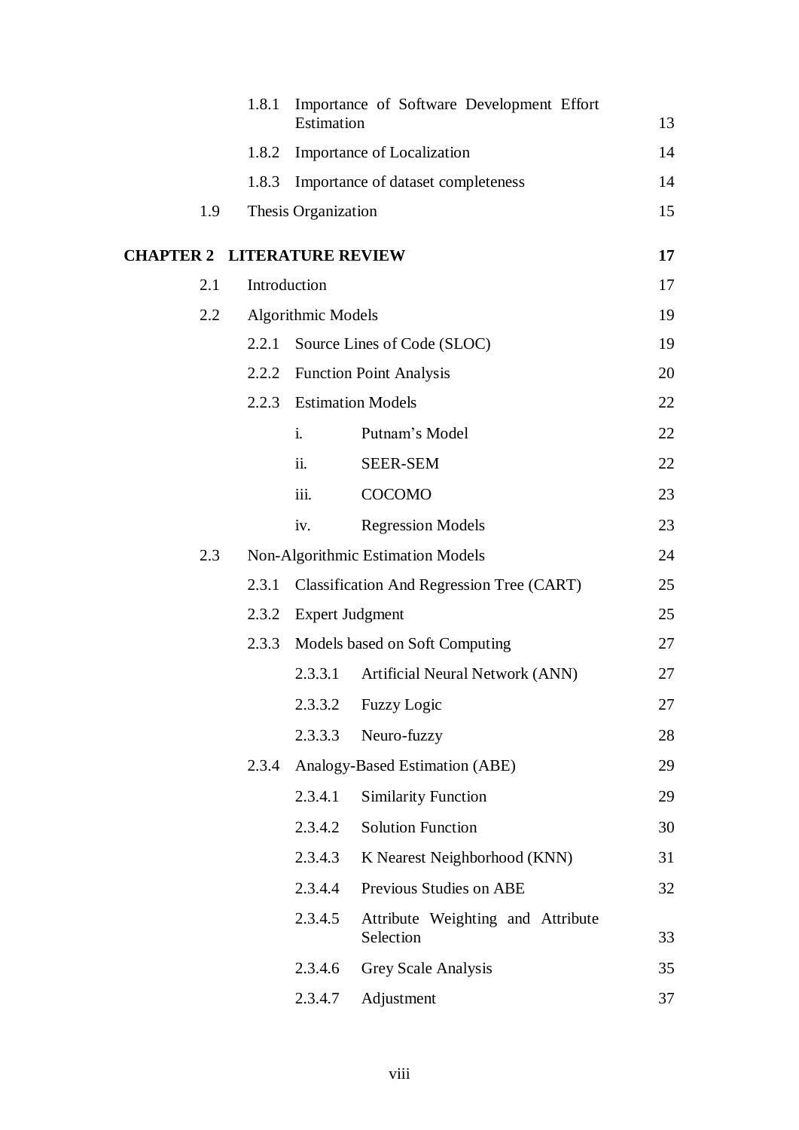|                                    | 1.8.1 | Estimation                | Importance of Software Development Effort        | 13 |
|------------------------------------|-------|---------------------------|--------------------------------------------------|----|
|                                    | 1.8.2 |                           | <b>Importance of Localization</b>                | 14 |
|                                    | 1.8.3 |                           | Importance of dataset completeness               | 14 |
| 1.9                                |       | Thesis Organization       |                                                  | 15 |
| <b>CHAPTER 2 LITERATURE REVIEW</b> |       |                           |                                                  | 17 |
| 2.1                                |       | Introduction              |                                                  | 17 |
| 2.2                                |       | <b>Algorithmic Models</b> |                                                  | 19 |
|                                    | 2.2.1 |                           | Source Lines of Code (SLOC)                      | 19 |
|                                    | 2.2.2 |                           | <b>Function Point Analysis</b>                   | 20 |
|                                    | 2.2.3 |                           | <b>Estimation Models</b>                         | 22 |
|                                    |       | i.                        | Putnam's Model                                   | 22 |
|                                    |       | ii.                       | <b>SEER-SEM</b>                                  | 22 |
|                                    |       | iii.                      | <b>COCOMO</b>                                    | 23 |
|                                    |       | iv.                       | <b>Regression Models</b>                         | 23 |
| 2.3                                |       |                           | Non-Algorithmic Estimation Models                | 24 |
|                                    | 2.3.1 |                           | <b>Classification And Regression Tree (CART)</b> | 25 |
|                                    |       | 2.3.2 Expert Judgment     |                                                  | 25 |
|                                    | 2.3.3 |                           | Models based on Soft Computing                   | 27 |
|                                    |       | 2.3.3.1                   | Artificial Neural Network (ANN)                  | 27 |
|                                    |       | 2.3.3.2                   | <b>Fuzzy Logic</b>                               | 27 |
|                                    |       | 2.3.3.3                   | Neuro-fuzzy                                      | 28 |
|                                    | 2.3.4 |                           | Analogy-Based Estimation (ABE)                   | 29 |
|                                    |       | 2.3.4.1                   | <b>Similarity Function</b>                       | 29 |
|                                    |       | 2.3.4.2                   | <b>Solution Function</b>                         | 30 |
|                                    |       | 2.3.4.3                   | K Nearest Neighborhood (KNN)                     | 31 |
|                                    |       | 2.3.4.4                   | Previous Studies on ABE                          | 32 |
|                                    |       | 2.3.4.5                   | Attribute Weighting and Attribute<br>Selection   | 33 |
|                                    |       | 2.3.4.6                   | Grey Scale Analysis                              | 35 |
|                                    |       | 2.3.4.7                   | Adjustment                                       | 37 |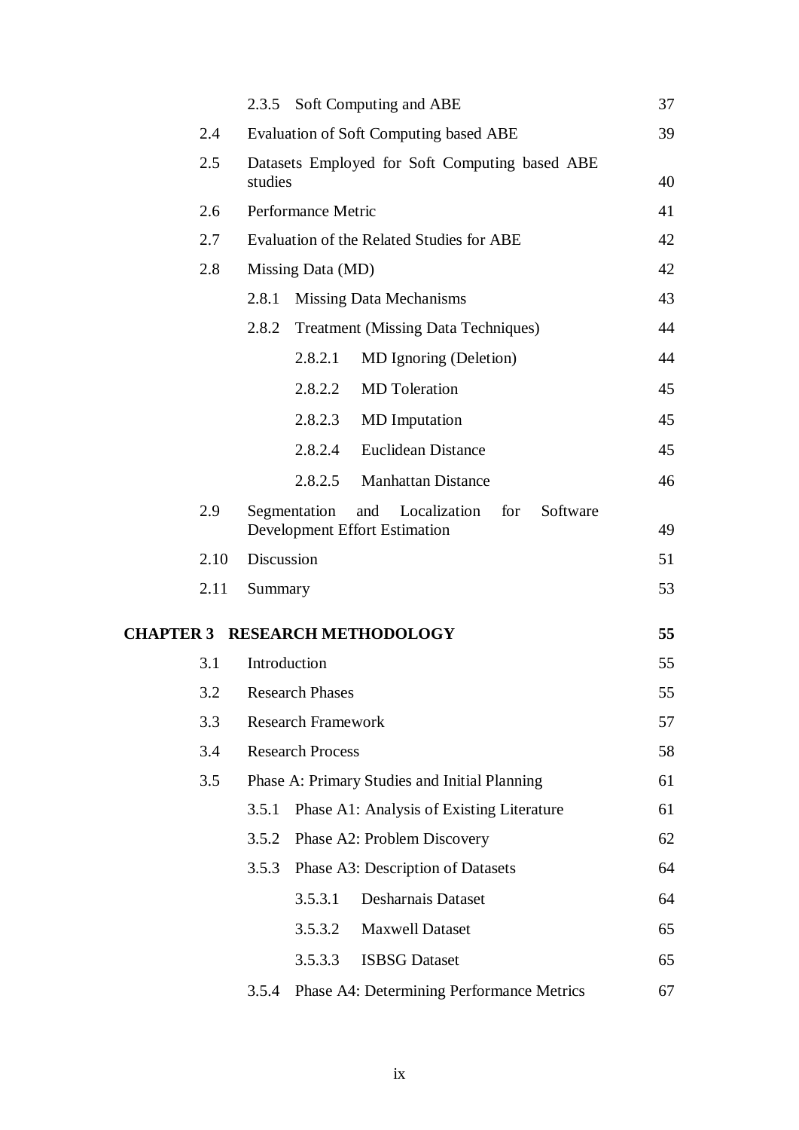|      | 2.3.5      |                           | Soft Computing and ABE                                                         | 37 |
|------|------------|---------------------------|--------------------------------------------------------------------------------|----|
| 2.4  |            |                           | <b>Evaluation of Soft Computing based ABE</b>                                  | 39 |
| 2.5  | studies    |                           | Datasets Employed for Soft Computing based ABE                                 | 40 |
| 2.6  |            | Performance Metric        |                                                                                | 41 |
| 2.7  |            |                           | Evaluation of the Related Studies for ABE                                      | 42 |
| 2.8  |            | Missing Data (MD)         |                                                                                | 42 |
|      | 2.8.1      |                           | <b>Missing Data Mechanisms</b>                                                 | 43 |
|      | 2.8.2      |                           | <b>Treatment (Missing Data Techniques)</b>                                     | 44 |
|      |            | 2.8.2.1                   | MD Ignoring (Deletion)                                                         | 44 |
|      |            | 2.8.2.2                   | <b>MD</b> Toleration                                                           | 45 |
|      |            | 2.8.2.3                   | <b>MD</b> Imputation                                                           | 45 |
|      |            | 2.8.2.4                   | <b>Euclidean Distance</b>                                                      | 45 |
|      |            | 2.8.2.5                   | <b>Manhattan Distance</b>                                                      | 46 |
| 2.9  |            | Segmentation              | Localization<br>for<br>Software<br>and<br><b>Development Effort Estimation</b> | 49 |
| 2.10 | Discussion |                           |                                                                                | 51 |
| 2.11 | Summary    |                           |                                                                                | 53 |
|      |            |                           | <b>CHAPTER 3 RESEARCH METHODOLOGY</b>                                          | 55 |
| 3.1  |            | Introduction              |                                                                                | 55 |
| 3.2  |            | <b>Research Phases</b>    |                                                                                | 55 |
| 3.3  |            | <b>Research Framework</b> |                                                                                | 57 |
| 3.4  |            | <b>Research Process</b>   |                                                                                | 58 |
| 3.5  |            |                           | Phase A: Primary Studies and Initial Planning                                  | 61 |
|      | 3.5.1      |                           | Phase A1: Analysis of Existing Literature                                      | 61 |
|      | 3.5.2      |                           | Phase A2: Problem Discovery                                                    | 62 |
|      | 3.5.3      |                           | Phase A3: Description of Datasets                                              | 64 |
|      |            | 3.5.3.1                   | <b>Desharnais Dataset</b>                                                      | 64 |
|      |            | 3.5.3.2                   | <b>Maxwell Dataset</b>                                                         | 65 |
|      |            | 3.5.3.3                   | <b>ISBSG</b> Dataset                                                           | 65 |
|      | 3.5.4      |                           | Phase A4: Determining Performance Metrics                                      | 67 |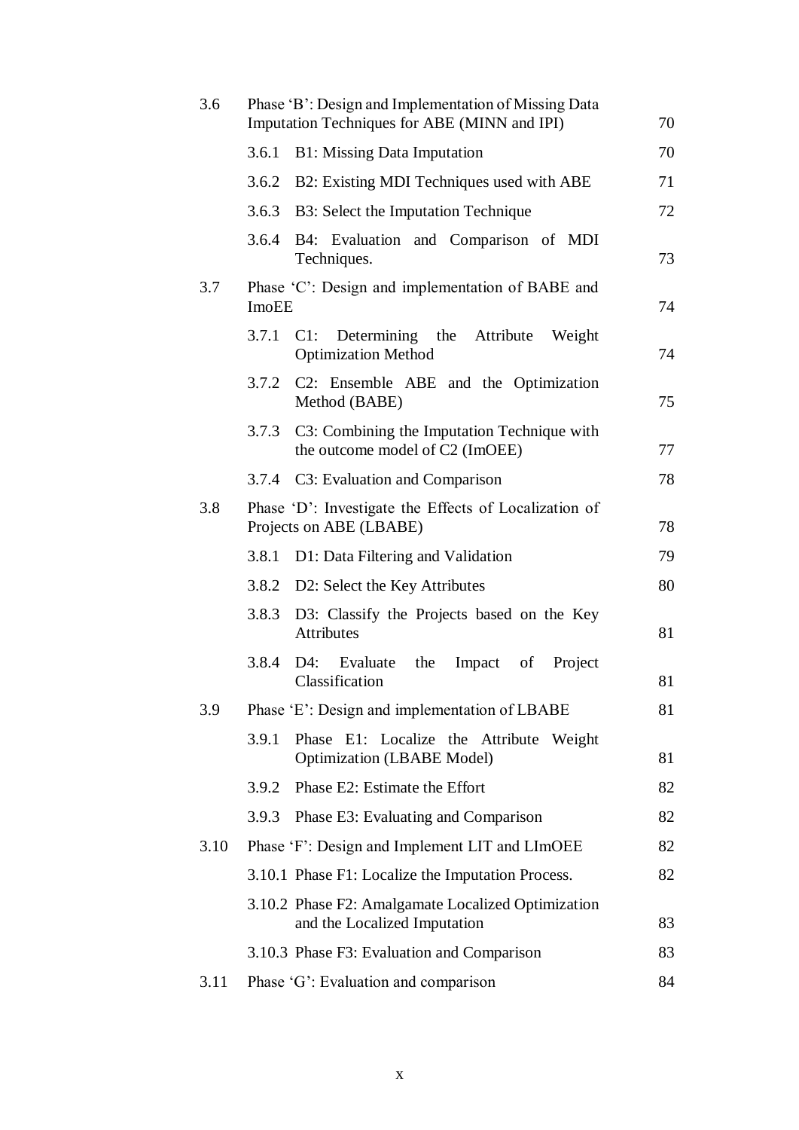| 3.6  |       | Phase 'B': Design and Implementation of Missing Data<br>Imputation Techniques for ABE (MINN and IPI) | 70 |
|------|-------|------------------------------------------------------------------------------------------------------|----|
|      | 3.6.1 | <b>B1:</b> Missing Data Imputation                                                                   | 70 |
|      | 3.6.2 | B2: Existing MDI Techniques used with ABE                                                            | 71 |
|      | 3.6.3 | B3: Select the Imputation Technique                                                                  | 72 |
|      | 3.6.4 | B4: Evaluation and Comparison of MDI<br>Techniques.                                                  | 73 |
| 3.7  | ImoEE | Phase 'C': Design and implementation of BABE and                                                     | 74 |
|      | 3.7.1 | $C1$ :<br>Determining the Attribute<br>Weight<br><b>Optimization Method</b>                          | 74 |
|      | 3.7.2 | C2: Ensemble ABE and the Optimization<br>Method (BABE)                                               | 75 |
|      | 3.7.3 | C3: Combining the Imputation Technique with<br>the outcome model of C2 (ImOEE)                       | 77 |
|      | 3.7.4 | C3: Evaluation and Comparison                                                                        | 78 |
| 3.8  |       | Phase 'D': Investigate the Effects of Localization of<br>Projects on ABE (LBABE)                     | 78 |
|      | 3.8.1 | D1: Data Filtering and Validation                                                                    | 79 |
|      |       | 3.8.2 D2: Select the Key Attributes                                                                  | 80 |
|      |       | 3.8.3 D3: Classify the Projects based on the Key<br>Attributes                                       | 81 |
|      | 3.8.4 | D4:<br>the<br>Impact<br>Project<br>Evaluate<br>of<br>Classification                                  | 81 |
| 3.9  |       | Phase 'E': Design and implementation of LBABE                                                        | 81 |
|      | 3.9.1 | Phase E1: Localize the Attribute Weight<br><b>Optimization (LBABE Model)</b>                         | 81 |
|      | 3.9.2 | Phase E2: Estimate the Effort                                                                        | 82 |
|      | 3.9.3 | Phase E3: Evaluating and Comparison                                                                  | 82 |
| 3.10 |       | Phase 'F': Design and Implement LIT and LImOEE                                                       | 82 |
|      |       | 3.10.1 Phase F1: Localize the Imputation Process.                                                    | 82 |
|      |       | 3.10.2 Phase F2: Amalgamate Localized Optimization<br>and the Localized Imputation                   | 83 |
|      |       | 3.10.3 Phase F3: Evaluation and Comparison                                                           | 83 |
| 3.11 |       | Phase 'G': Evaluation and comparison                                                                 | 84 |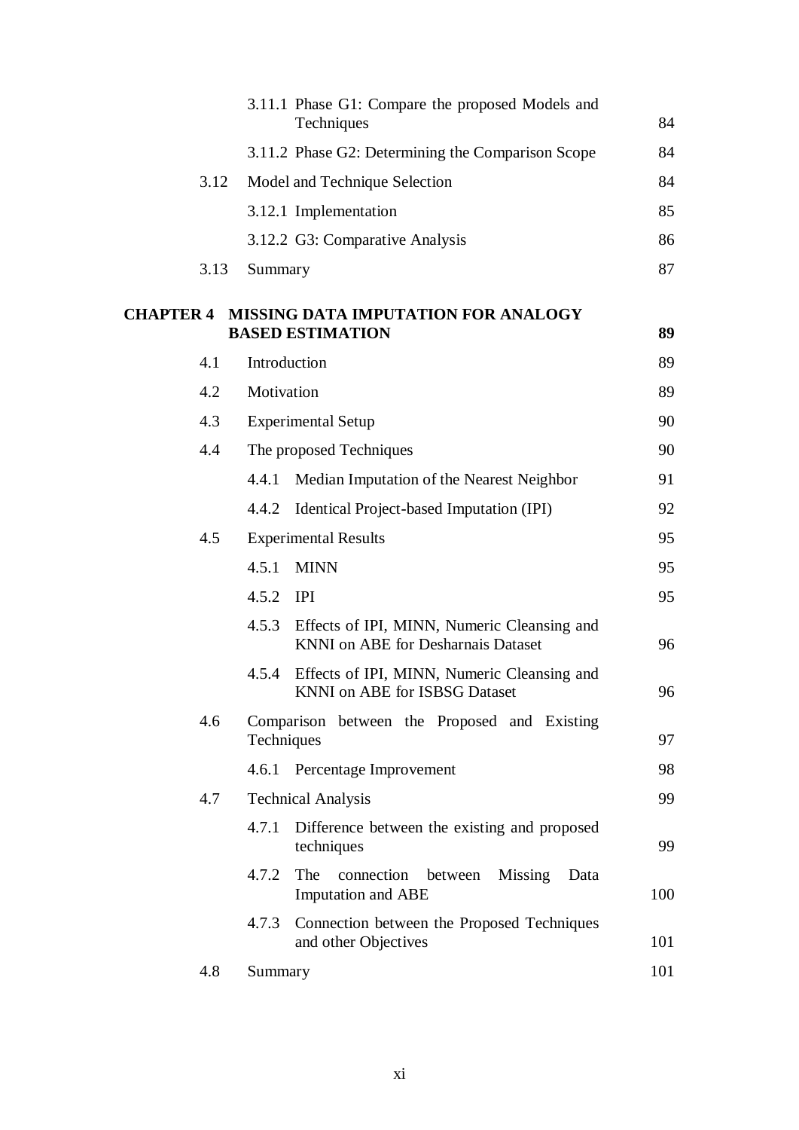|                  |      |              | 3.11.1 Phase G1: Compare the proposed Models and<br>Techniques                           | 84  |
|------------------|------|--------------|------------------------------------------------------------------------------------------|-----|
|                  |      |              | 3.11.2 Phase G2: Determining the Comparison Scope                                        | 84  |
|                  | 3.12 |              | Model and Technique Selection                                                            | 84  |
|                  |      |              | 3.12.1 Implementation                                                                    | 85  |
|                  |      |              | 3.12.2 G3: Comparative Analysis                                                          | 86  |
|                  | 3.13 | Summary      |                                                                                          | 87  |
| <b>CHAPTER 4</b> |      |              | MISSING DATA IMPUTATION FOR ANALOGY<br><b>BASED ESTIMATION</b>                           | 89  |
| 4.1              |      | Introduction |                                                                                          | 89  |
|                  | 4.2  | Motivation   |                                                                                          | 89  |
| 4.3              |      |              | <b>Experimental Setup</b>                                                                | 90  |
|                  | 4.4  |              | The proposed Techniques                                                                  | 90  |
|                  |      | 4.4.1        | Median Imputation of the Nearest Neighbor                                                | 91  |
|                  |      | 4.4.2        | Identical Project-based Imputation (IPI)                                                 | 92  |
|                  | 4.5  |              | <b>Experimental Results</b>                                                              | 95  |
|                  |      | 4.5.1        | <b>MINN</b>                                                                              | 95  |
|                  |      | 4.5.2        | <b>IPI</b>                                                                               | 95  |
|                  |      | 4.5.3        | Effects of IPI, MINN, Numeric Cleansing and<br><b>KNNI</b> on ABE for Desharnais Dataset | 96  |
|                  |      | 4.5.4        | Effects of IPI, MINN, Numeric Cleansing and<br>KNNI on ABE for ISBSG Dataset             | 96  |
|                  | 4.6  | Techniques   | Comparison between the Proposed and Existing                                             | 97  |
|                  |      |              | 4.6.1 Percentage Improvement                                                             | 98  |
|                  | 4.7  |              | <b>Technical Analysis</b>                                                                | 99  |
|                  |      | 4.7.1        | Difference between the existing and proposed<br>techniques                               | 99  |
|                  |      | 4.7.2        | The<br>connection<br>Missing<br>between<br>Data<br><b>Imputation and ABE</b>             | 100 |
|                  |      | 4.7.3        | Connection between the Proposed Techniques<br>and other Objectives                       | 101 |
|                  | 4.8  | Summary      |                                                                                          | 101 |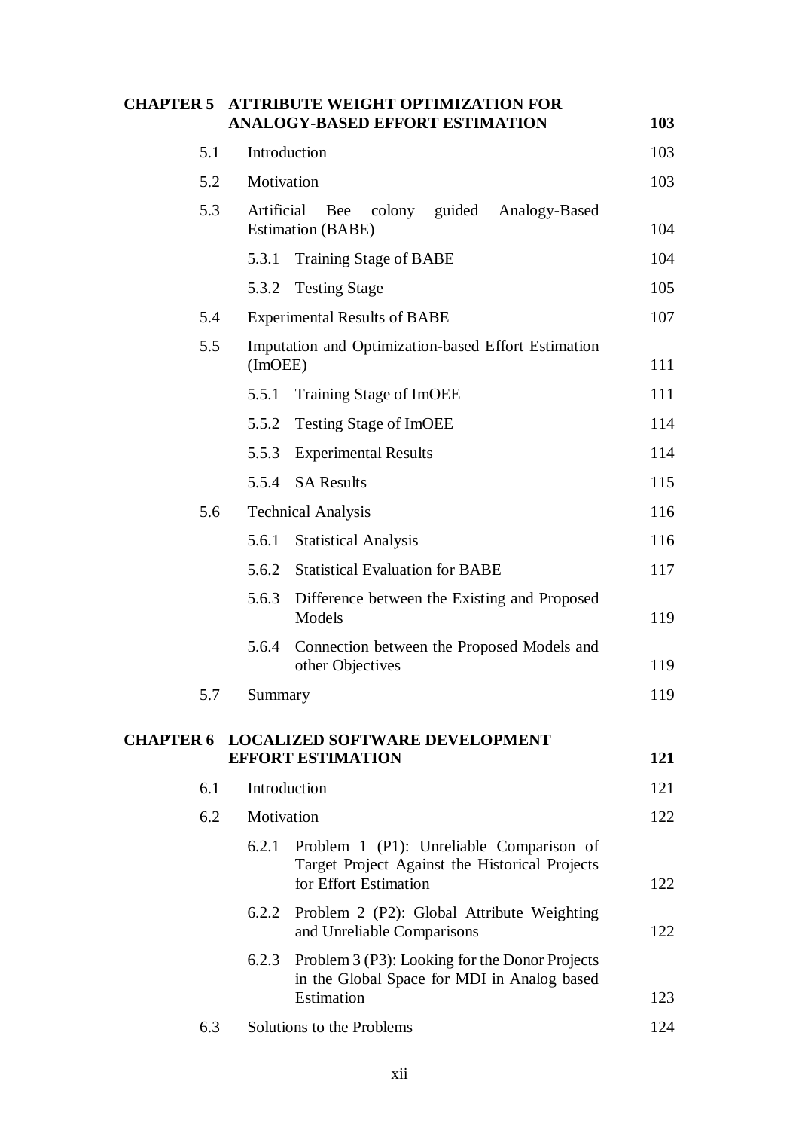| <b>CHAPTER 5</b> |              | <b>ATTRIBUTE WEIGHT OPTIMIZATION FOR</b><br><b>ANALOGY-BASED EFFORT ESTIMATION</b>                                  | 103 |
|------------------|--------------|---------------------------------------------------------------------------------------------------------------------|-----|
| 5.1              | Introduction |                                                                                                                     | 103 |
| 5.2              | Motivation   |                                                                                                                     | 103 |
| 5.3              | Artificial   | Bee<br>colony guided Analogy-Based<br><b>Estimation (BABE)</b>                                                      | 104 |
|                  | 5.3.1        | <b>Training Stage of BABE</b>                                                                                       | 104 |
|                  | 5.3.2        | <b>Testing Stage</b>                                                                                                | 105 |
| 5.4              |              | <b>Experimental Results of BABE</b>                                                                                 | 107 |
| 5.5              | (Im OEE)     | Imputation and Optimization-based Effort Estimation                                                                 | 111 |
|                  | 5.5.1        | Training Stage of ImOEE                                                                                             | 111 |
|                  | 5.5.2        | <b>Testing Stage of ImOEE</b>                                                                                       | 114 |
|                  | 5.5.3        | <b>Experimental Results</b>                                                                                         | 114 |
|                  |              | 5.5.4 SA Results                                                                                                    | 115 |
| 5.6              |              | <b>Technical Analysis</b>                                                                                           | 116 |
|                  | 5.6.1        | <b>Statistical Analysis</b>                                                                                         | 116 |
|                  |              | 5.6.2 Statistical Evaluation for BABE                                                                               | 117 |
|                  | 5.6.3        | Difference between the Existing and Proposed<br>Models                                                              | 119 |
|                  | 5.6.4        | Connection between the Proposed Models and<br>other Objectives                                                      | 119 |
| 5.7              | Summary      |                                                                                                                     | 119 |
|                  |              | <b>CHAPTER 6 LOCALIZED SOFTWARE DEVELOPMENT</b><br><b>EFFORT ESTIMATION</b>                                         | 121 |
| 6.1              | Introduction |                                                                                                                     | 121 |
| 6.2              | Motivation   |                                                                                                                     | 122 |
|                  | 6.2.1        | Problem 1 (P1): Unreliable Comparison of<br>Target Project Against the Historical Projects<br>for Effort Estimation | 122 |
|                  |              | 6.2.2 Problem 2 (P2): Global Attribute Weighting<br>and Unreliable Comparisons                                      | 122 |
|                  |              | 6.2.3 Problem 3 (P3): Looking for the Donor Projects<br>in the Global Space for MDI in Analog based<br>Estimation   | 123 |
| 6.3              |              | Solutions to the Problems                                                                                           | 124 |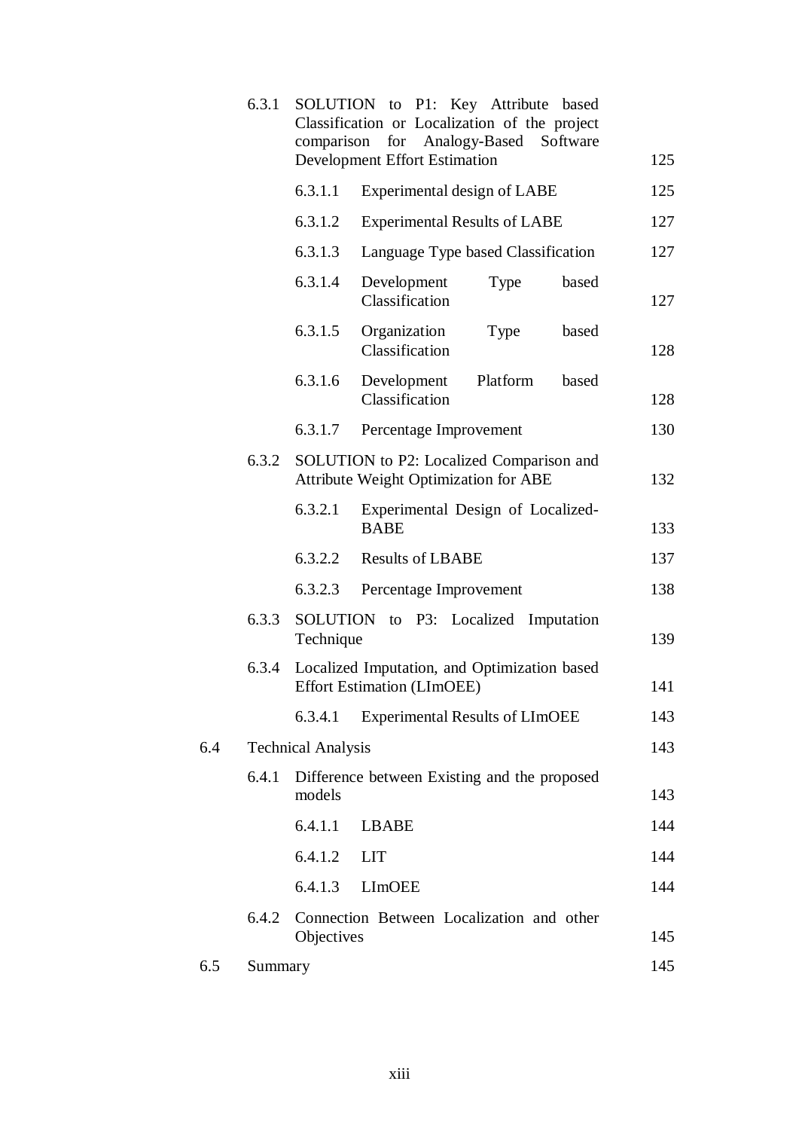|     | 6.3.1   |                           | SOLUTION to P1: Key Attribute based<br>Classification or Localization of the project<br>comparison for Analogy-Based<br>Software<br><b>Development Effort Estimation</b> | 125 |
|-----|---------|---------------------------|--------------------------------------------------------------------------------------------------------------------------------------------------------------------------|-----|
|     |         | 6.3.1.1                   | Experimental design of LABE                                                                                                                                              | 125 |
|     |         | 6.3.1.2                   | <b>Experimental Results of LABE</b>                                                                                                                                      | 127 |
|     |         | 6.3.1.3                   | Language Type based Classification                                                                                                                                       | 127 |
|     |         | 6.3.1.4                   | Development<br>Type<br>based<br>Classification                                                                                                                           | 127 |
|     |         | 6.3.1.5                   | Organization<br>based<br>Type<br>Classification                                                                                                                          | 128 |
|     |         | 6.3.1.6                   | Development<br>Platform<br>based<br>Classification                                                                                                                       | 128 |
|     |         | 6.3.1.7                   | Percentage Improvement                                                                                                                                                   | 130 |
|     | 6.3.2   |                           | SOLUTION to P2: Localized Comparison and<br><b>Attribute Weight Optimization for ABE</b>                                                                                 | 132 |
|     |         | 6.3.2.1                   | Experimental Design of Localized-<br><b>BABE</b>                                                                                                                         | 133 |
|     |         | 6.3.2.2                   | <b>Results of LBABE</b>                                                                                                                                                  | 137 |
|     |         | 6.3.2.3                   | Percentage Improvement                                                                                                                                                   | 138 |
|     | 6.3.3   | Technique                 | SOLUTION to P3: Localized<br>Imputation                                                                                                                                  | 139 |
|     | 6.3.4   |                           | Localized Imputation, and Optimization based<br><b>Effort Estimation (LImOEE)</b>                                                                                        | 141 |
|     |         | 6.3.4.1                   | <b>Experimental Results of LImOEE</b>                                                                                                                                    | 143 |
| 6.4 |         | <b>Technical Analysis</b> |                                                                                                                                                                          | 143 |
|     | 6.4.1   | models                    | Difference between Existing and the proposed                                                                                                                             | 143 |
|     |         | 6.4.1.1                   | <b>LBABE</b>                                                                                                                                                             | 144 |
|     |         | 6.4.1.2                   | <b>LIT</b>                                                                                                                                                               | 144 |
|     |         | 6.4.1.3                   | <b>LImOEE</b>                                                                                                                                                            | 144 |
|     | 6.4.2   | Objectives                | Connection Between Localization and other                                                                                                                                | 145 |
| 6.5 | Summary |                           |                                                                                                                                                                          | 145 |